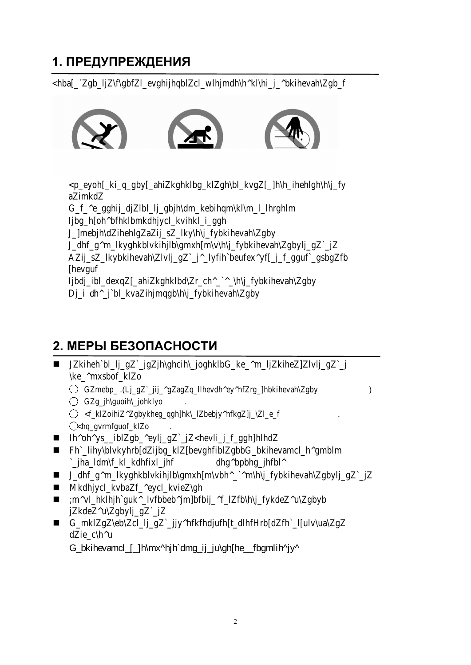## 1. ПРЕДУПРЕЖДЕНИЯ

Во избежание травм, внимательно прочитайте это руководство перед использованием

В целях обеспечения безопасности, не становитесь на беговое полотно во время запуска.

Немедленно прекратите тренировку, если почувствуете тошноту.

При необходимости ускоряйтесь постепенно.

Регулировка полотна запре ается во время использования.

Рекомендуется носить спортивную обувь во время использования тренажера.

Запре ается использовать тренажер детям, пожил м людям, беременн м жен ин больн м.

Прикрепите ключа безопасности к вашей одежде во время использования.

Крепко держитесь за поручни во время использования.

#### 2. МЕРЫ БЕЗОПАСНОСТИ

|                                  | $\bigcirc$ and $\bigcirc$              |              |   |              | a a |   | a |              | a a | ) a |   |     | a |
|----------------------------------|----------------------------------------|--------------|---|--------------|-----|---|---|--------------|-----|-----|---|-----|---|
|                                  | <u> </u> िरागानि<br>$\mathbb{Q}$ TTTat |              | a | a.           |     | a |   | a<br>$\cdot$ | a a |     | a | a a |   |
| $\blacksquare$                   | $\hat{u}$ a                            | $\mathsf{a}$ |   | $\mathbf{a}$ |     |   |   |              |     |     |   |     |   |
| $\blacksquare$                   |                                        |              |   |              |     |   |   |              |     |     |   |     |   |
| $\blacksquare$<br>$\blacksquare$ |                                        |              |   |              |     |   |   |              |     |     |   |     |   |
| $\blacksquare$                   |                                        |              |   |              |     |   |   |              |     |     |   |     |   |
| $\blacksquare$                   |                                        |              |   |              |     |   |   |              |     |     |   |     |   |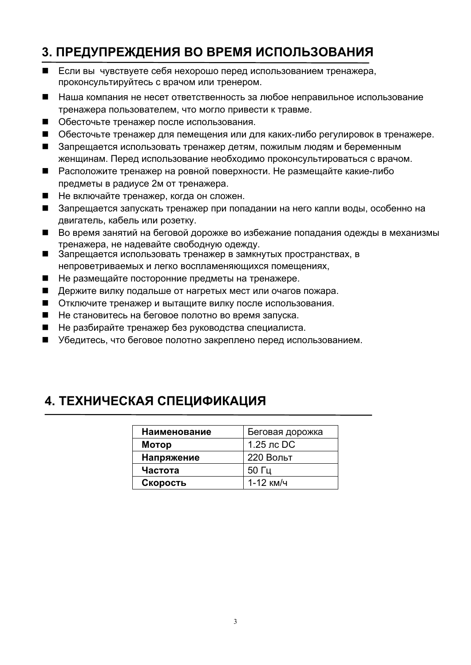# **3. ПРЕДУПРЕЖДЕНИЯ ВО ВРЕМЯ ИСПОЛЬЗОВАНИЯ**

- Если вы чувствуете себя нехорошо перед использованием тренажера, проконсультируйтесь с врачом или тренером.
- Наша компания не несет ответственность за любое неправильное использование тренажера пользователем, что могло привести к травме.
- Обесточьте тренажер после использования.
- Обесточьте тренажер для пемещения или для каких-либо регулировок в тренажере.
- Запрещается использовать тренажер детям, пожилым людям и беременным женщинам. Перед использование необходимо проконсультироваться с врачом.
- Расположите тренажер на ровной поверхности. Не размещайте какие-либо предметы в радиусе 2м от тренажера.
- Не включайте тренажер, когда он сложен.
- Запрещается запускать тренажер при попадании на него капли воды, особенно на двигатель, кабель или розетку.
- Во время занятий на беговой дорожке во избежание попадания одежды в механизмы тренажера, не надевайте свободную одежду.
- Запрещается использовать тренажер в замкнутых пространствах, в непроветриваемых и легко воспламеняющихся помещениях,
- Не размещайте посторонние предметы на тренажере.
- Держите вилку подальше от нагретых мест или очагов пожара.
- Отключите тренажер и вытащите вилку после использования.
- Не становитесь на беговое полотно во время запуска.
- Не разбирайте тренажер без руководства специалиста.
- Убедитесь, что беговое полотно закреплено перед использованием.

# **4. ТЕХНИЧЕСКАЯ СПЕЦИФИКАЦИЯ**

| Наименование | Беговая дорожка |
|--------------|-----------------|
| Мотор        | $1.25$ лс DC    |
| Напряжение   | 220 Вольт       |
| Частота      | $50 \Gamma$ ц   |
| Скорость     | 1-12 км/ч       |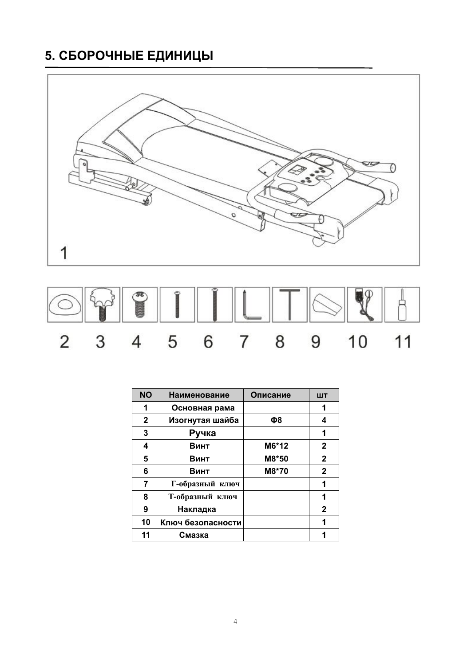# **5. СБОРОЧНЫЕ ЕДИНИЦЫ**





| <b>NO</b>    | <b>Наименование</b> | Описание | ШT           |
|--------------|---------------------|----------|--------------|
| 1            | Основная рама       |          | 1            |
| $\mathbf{2}$ | Изогнутая шайба     | Φ8       | 4            |
| 3            | Ручка               |          | 1            |
| 4            | Винт                | M6*12    | 2            |
| 5            | Винт                | M8*50    | $\mathbf{2}$ |
| 6            | Винт                | M8*70    | $\mathbf{2}$ |
| 7            | Г-образный ключ     |          | 1            |
| 8            | Т-образный ключ     |          | 1            |
| 9            | Накладка            |          | $\mathbf{2}$ |
| 10           | Ключ безопасности   |          | 1            |
| 11           | Смазка              |          | 1            |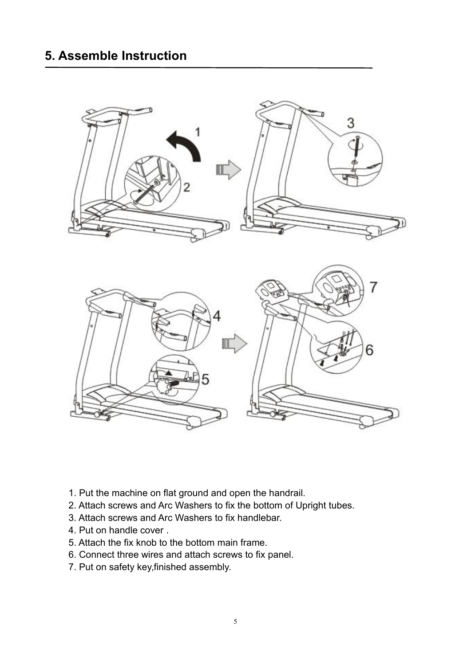

- 1. Put the machine on flat ground and open the handrail.
- 2. Attach screws and Arc Washers to fix the bottom of Upright tubes.
- 3. Attach screws and Arc Washers to fix handlebar.
- 4. Put on handle cover .
- 5. Attach the fix knob to the bottom main frame.
- 6. Connect three wires and attach screws to fix panel.
- 7. Put on safety key,finished assembly.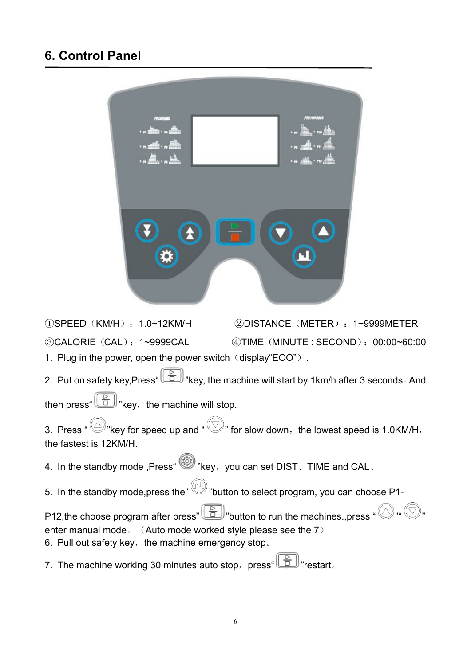# **6. Control Panel**



①SPEED(KM/H):1.0~12KM/H ②DISTANCE(METER):1~9999METER ③CALORIE(CAL):1~9999CAL ④TIME(MINUTE : SECOND):00:00~60:00 1. Plug in the power, open the power switch  $(display"EOO")$ .

2. Put on safety key,Press"  $\boxed{\bigoplus}$  "key, the machine will start by 1km/h after 3 seconds. And

then press"  $\boxed{\triangle}$  "key, the machine will stop.

3. Press "  $\bigcirc$  "key for speed up and "  $\bigcirc$ " for slow down, the lowest speed is 1.0KM/H, the fastest is 12KM/H.

- 4. In the standby mode ,Press (and where , you can set DIST, TIME and CAL.
- 5. In the standby mode, press the "  $\mathbb{F}$ "button to select program, you can choose P1-

P12, the choose program after press"  $\boxed{\bigoplus}$  "button to run the machines., press "  $\bigotimes$ " enter manual mode。(Auto mode worked style please see the 7)

6. Pull out safety key, the machine emergency stop。

7. The machine working 30 minutes auto stop, press  $\left(\begin{array}{cc} \boxed{\circ} \\ \boxed{\circ} \end{array}\right)$  restart.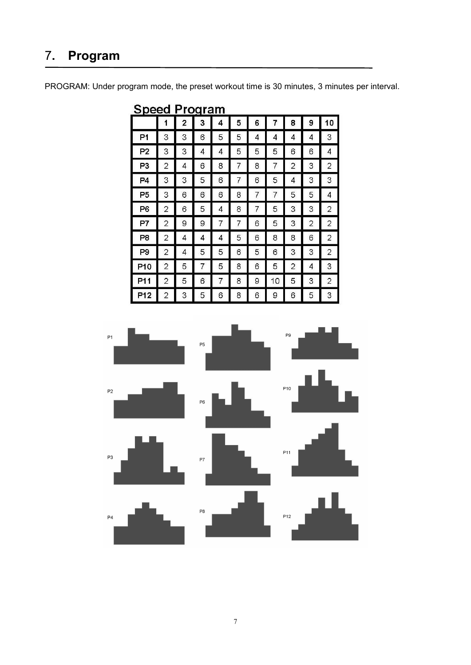# 7**. Program**

PROGRAM: Under program mode, the preset workout time is 30 minutes, 3 minutes per interval.

| <u>spect</u>   | - 4            |                | -чыл |   |   |   |                |                |   |                |
|----------------|----------------|----------------|------|---|---|---|----------------|----------------|---|----------------|
|                | 1              | $\overline{2}$ | 3    | 4 | 5 | 6 | $\overline{7}$ | 8              | 9 | 10             |
| P1             | 3              | З              | 6    | 5 | 5 | 4 | 4              | 4              | 4 | 3              |
| P2             | 3              | 3              | 4    | 4 | 5 | 5 | 5              | 6              | 6 | 4              |
| P3             | 2              | 4              | 6    | 8 | 7 | 8 | 7              | $\overline{2}$ | 3 | 2              |
| P <sub>4</sub> | 3              | 3              | 5    | 6 | 7 | 6 | 5              | 4              | 3 | 3              |
| P <sub>5</sub> | 3              | 6              | 6    | 6 | 8 | 7 | 7              | 5              | 5 | 4              |
| P6             | 2              | 6              | 5    | 4 | 8 | 7 | 5              | З              | 3 | 2              |
| P7             | $\overline{c}$ | 9              | 9    | 7 | 7 | 6 | 5              | 3              | 2 | 2              |
| P8             | $\overline{2}$ | 4              | 4    | 4 | 5 | 6 | 8              | 8              | 6 | 2              |
| P <sub>9</sub> | 2              | 4              | 5    | 5 | 6 | 5 | 6              | 3              | 3 | $\overline{2}$ |
| P10            | $\overline{2}$ | 5              | 7    | 5 | 8 | 6 | 5              | 2              | 4 | 3              |
| P11            | $\overline{2}$ | 5              | 6    | 7 | 8 | 9 | 10             | 5              | 3 | 2              |
| P12            | $\overline{2}$ | З              | 5    | 6 | 8 | 6 | 9              | 6              | 5 | 3              |

Speed Program

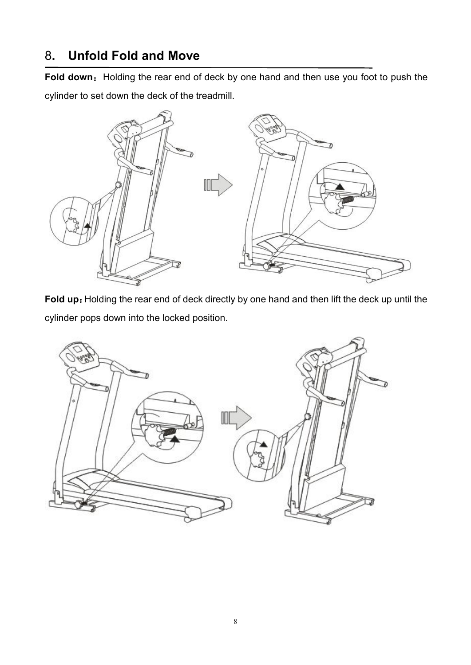# 8**. Unfold Fold and Move**

Fold down: Holding the rear end of deck by one hand and then use you foot to push the cylinder to set down the deck of the treadmill.



Fold up: Holding the rear end of deck directly by one hand and then lift the deck up until the cylinder pops down into the locked position.

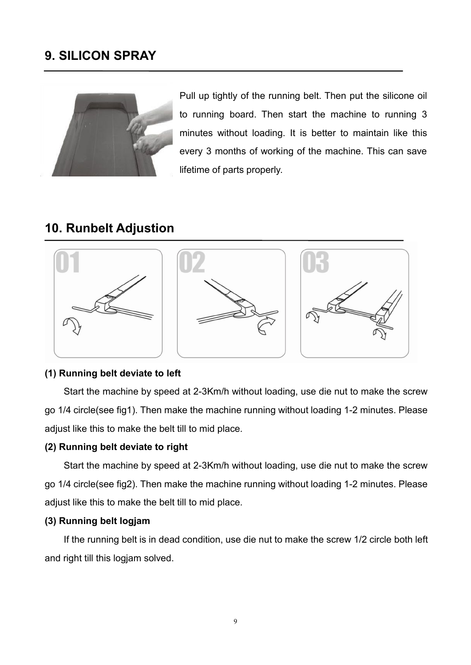## **9. SILICON SPRAY**



Pull up tightly of the running belt. Then put the silicone oil to running board. Then start the machine to running 3 minutes without loading. It is better to maintain like this every 3 months of working of the machine. This can save lifetime of parts properly.

#### **10. Runbelt Adjustion**



#### **(1) Running belt deviate to left**

Start the machine by speed at 2-3Km/h without loading, use die nut to make the screw go 1/4 circle(see fig1). Then make the machine running without loading 1-2 minutes. Please adjust like this to make the belt till to mid place.

#### **(2) Running belt deviate to right**

Start the machine by speed at 2-3Km/h without loading, use die nut to make the screw go 1/4 circle(see fig2). Then make the machine running without loading 1-2 minutes. Please adjust like this to make the belt till to mid place.

#### **(3) Running belt logjam**

If the running belt is in dead condition, use die nut to make the screw 1/2 circle both left and right till this logjam solved.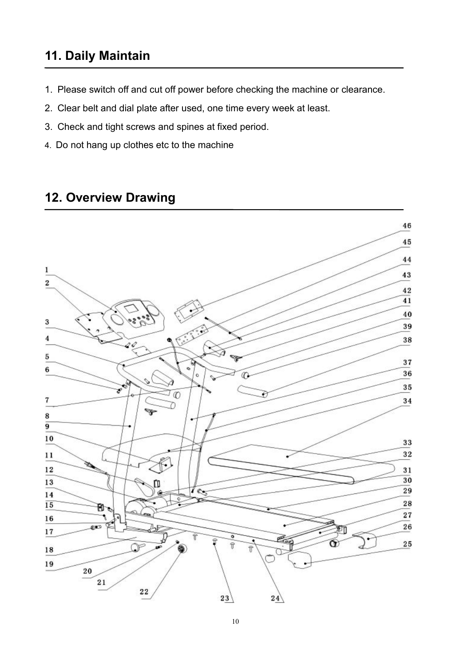# **11. Daily Maintain**

- 1. Please switch off and cut off power before checking the machine or clearance.
- 2. Clear belt and dial plate after used, one time every week at least.
- 3. Check and tight screws and spines at fixed period.
- 4. Do not hang up clothes etc to the machine

## **12. Overview Drawing**